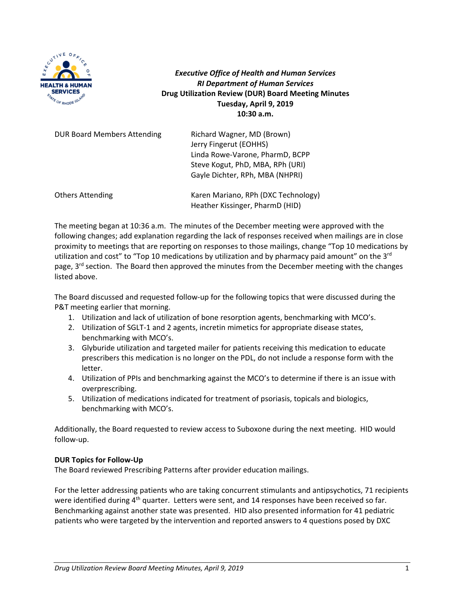

*Executive Office of Health and Human Services RI Department of Human Services* **Drug Utilization Review (DUR) Board Meeting Minutes Tuesday, April 9, 2019 10:30 a.m.**

| <b>DUR Board Members Attending</b> | Richard Wagner, MD (Brown)<br>Jerry Fingerut (EOHHS)<br>Linda Rowe-Varone, PharmD, BCPP<br>Steve Kogut, PhD, MBA, RPh (URI)<br>Gayle Dichter, RPh, MBA (NHPRI) |
|------------------------------------|----------------------------------------------------------------------------------------------------------------------------------------------------------------|
| <b>Others Attending</b>            | Karen Mariano, RPh (DXC Technology)<br>Heather Kissinger, PharmD (HID)                                                                                         |

The meeting began at 10:36 a.m. The minutes of the December meeting were approved with the following changes; add explanation regarding the lack of responses received when mailings are in close proximity to meetings that are reporting on responses to those mailings, change "Top 10 medications by utilization and cost" to "Top 10 medications by utilization and by pharmacy paid amount" on the  $3<sup>rd</sup>$ page, 3<sup>rd</sup> section. The Board then approved the minutes from the December meeting with the changes listed above.

The Board discussed and requested follow‐up for the following topics that were discussed during the P&T meeting earlier that morning.

- 1. Utilization and lack of utilization of bone resorption agents, benchmarking with MCO's.
- 2. Utilization of SGLT‐1 and 2 agents, incretin mimetics for appropriate disease states, benchmarking with MCO's.
- 3. Glyburide utilization and targeted mailer for patients receiving this medication to educate prescribers this medication is no longer on the PDL, do not include a response form with the letter.
- 4. Utilization of PPIs and benchmarking against the MCO's to determine if there is an issue with overprescribing.
- 5. Utilization of medications indicated for treatment of psoriasis, topicals and biologics, benchmarking with MCO's.

Additionally, the Board requested to review access to Suboxone during the next meeting. HID would follow‐up.

## **DUR Topics for Follow‐Up**

The Board reviewed Prescribing Patterns after provider education mailings.

For the letter addressing patients who are taking concurrent stimulants and antipsychotics, 71 recipients were identified during  $4<sup>th</sup>$  quarter. Letters were sent, and 14 responses have been received so far. Benchmarking against another state was presented. HID also presented information for 41 pediatric patients who were targeted by the intervention and reported answers to 4 questions posed by DXC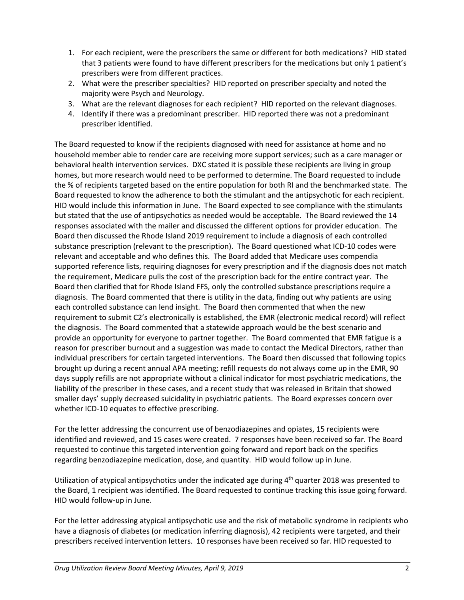- 1. For each recipient, were the prescribers the same or different for both medications? HID stated that 3 patients were found to have different prescribers for the medications but only 1 patient's prescribers were from different practices.
- 2. What were the prescriber specialties? HID reported on prescriber specialty and noted the majority were Psych and Neurology.
- 3. What are the relevant diagnoses for each recipient? HID reported on the relevant diagnoses.
- 4. Identify if there was a predominant prescriber. HID reported there was not a predominant prescriber identified.

The Board requested to know if the recipients diagnosed with need for assistance at home and no household member able to render care are receiving more support services; such as a care manager or behavioral health intervention services. DXC stated it is possible these recipients are living in group homes, but more research would need to be performed to determine. The Board requested to include the % of recipients targeted based on the entire population for both RI and the benchmarked state. The Board requested to know the adherence to both the stimulant and the antipsychotic for each recipient. HID would include this information in June. The Board expected to see compliance with the stimulants but stated that the use of antipsychotics as needed would be acceptable. The Board reviewed the 14 responses associated with the mailer and discussed the different options for provider education. The Board then discussed the Rhode Island 2019 requirement to include a diagnosis of each controlled substance prescription (relevant to the prescription). The Board questioned what ICD-10 codes were relevant and acceptable and who defines this. The Board added that Medicare uses compendia supported reference lists, requiring diagnoses for every prescription and if the diagnosis does not match the requirement, Medicare pulls the cost of the prescription back for the entire contract year. The Board then clarified that for Rhode Island FFS, only the controlled substance prescriptions require a diagnosis. The Board commented that there is utility in the data, finding out why patients are using each controlled substance can lend insight. The Board then commented that when the new requirement to submit C2's electronically is established, the EMR (electronic medical record) will reflect the diagnosis. The Board commented that a statewide approach would be the best scenario and provide an opportunity for everyone to partner together. The Board commented that EMR fatigue is a reason for prescriber burnout and a suggestion was made to contact the Medical Directors, rather than individual prescribers for certain targeted interventions. The Board then discussed that following topics brought up during a recent annual APA meeting; refill requests do not always come up in the EMR, 90 days supply refills are not appropriate without a clinical indicator for most psychiatric medications, the liability of the prescriber in these cases, and a recent study that was released in Britain that showed smaller days' supply decreased suicidality in psychiatric patients. The Board expresses concern over whether ICD-10 equates to effective prescribing.

For the letter addressing the concurrent use of benzodiazepines and opiates, 15 recipients were identified and reviewed, and 15 cases were created. 7 responses have been received so far. The Board requested to continue this targeted intervention going forward and report back on the specifics regarding benzodiazepine medication, dose, and quantity. HID would follow up in June.

Utilization of atypical antipsychotics under the indicated age during  $4<sup>th</sup>$  quarter 2018 was presented to the Board, 1 recipient was identified. The Board requested to continue tracking this issue going forward. HID would follow‐up in June.

For the letter addressing atypical antipsychotic use and the risk of metabolic syndrome in recipients who have a diagnosis of diabetes (or medication inferring diagnosis), 42 recipients were targeted, and their prescribers received intervention letters. 10 responses have been received so far. HID requested to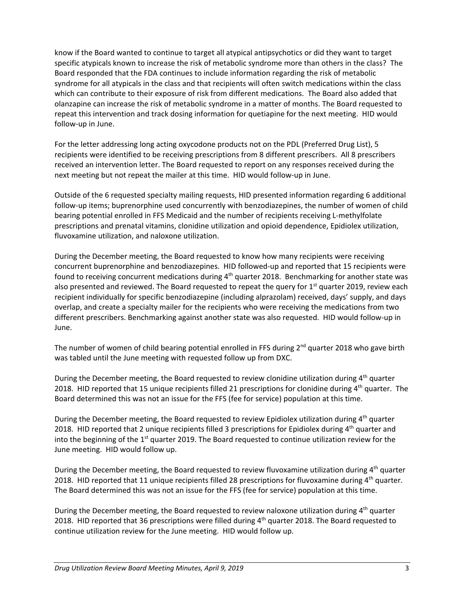know if the Board wanted to continue to target all atypical antipsychotics or did they want to target specific atypicals known to increase the risk of metabolic syndrome more than others in the class? The Board responded that the FDA continues to include information regarding the risk of metabolic syndrome for all atypicals in the class and that recipients will often switch medications within the class which can contribute to their exposure of risk from different medications. The Board also added that olanzapine can increase the risk of metabolic syndrome in a matter of months. The Board requested to repeat this intervention and track dosing information for quetiapine for the next meeting. HID would follow‐up in June.

For the letter addressing long acting oxycodone products not on the PDL (Preferred Drug List), 5 recipients were identified to be receiving prescriptions from 8 different prescribers. All 8 prescribers received an intervention letter. The Board requested to report on any responses received during the next meeting but not repeat the mailer at this time. HID would follow‐up in June.

Outside of the 6 requested specialty mailing requests, HID presented information regarding 6 additional follow‐up items; buprenorphine used concurrently with benzodiazepines, the number of women of child bearing potential enrolled in FFS Medicaid and the number of recipients receiving L-methylfolate prescriptions and prenatal vitamins, clonidine utilization and opioid dependence, Epidiolex utilization, fluvoxamine utilization, and naloxone utilization.

During the December meeting, the Board requested to know how many recipients were receiving concurrent buprenorphine and benzodiazepines. HID followed-up and reported that 15 recipients were found to receiving concurrent medications during 4<sup>th</sup> quarter 2018. Benchmarking for another state was also presented and reviewed. The Board requested to repeat the query for  $1<sup>st</sup>$  quarter 2019, review each recipient individually for specific benzodiazepine (including alprazolam) received, days' supply, and days overlap, and create a specialty mailer for the recipients who were receiving the medications from two different prescribers. Benchmarking against another state was also requested. HID would follow‐up in June.

The number of women of child bearing potential enrolled in FFS during  $2^{nd}$  quarter 2018 who gave birth was tabled until the June meeting with requested follow up from DXC.

During the December meeting, the Board requested to review clonidine utilization during 4<sup>th</sup> quarter 2018. HID reported that 15 unique recipients filled 21 prescriptions for clonidine during  $4<sup>th</sup>$  quarter. The Board determined this was not an issue for the FFS (fee for service) population at this time.

During the December meeting, the Board requested to review Epidiolex utilization during  $4<sup>th</sup>$  quarter 2018. HID reported that 2 unique recipients filled 3 prescriptions for Epidiolex during 4<sup>th</sup> quarter and into the beginning of the  $1<sup>st</sup>$  quarter 2019. The Board requested to continue utilization review for the June meeting. HID would follow up.

During the December meeting, the Board requested to review fluvoxamine utilization during 4<sup>th</sup> quarter 2018. HID reported that 11 unique recipients filled 28 prescriptions for fluvoxamine during  $4<sup>th</sup>$  quarter. The Board determined this was not an issue for the FFS (fee for service) population at this time.

During the December meeting, the Board requested to review naloxone utilization during  $4<sup>th</sup>$  quarter 2018. HID reported that 36 prescriptions were filled during 4<sup>th</sup> quarter 2018. The Board requested to continue utilization review for the June meeting. HID would follow up.